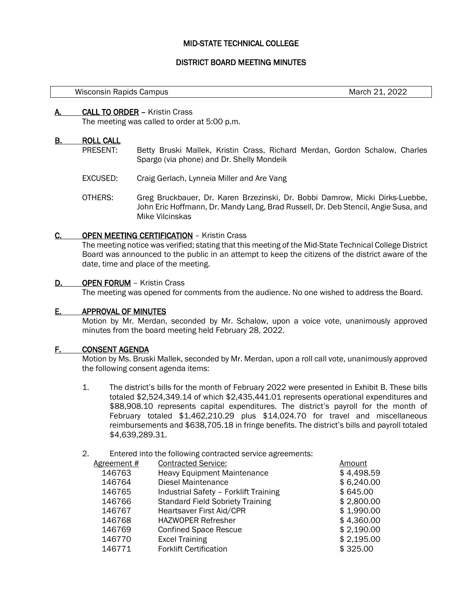# MID-STATE TECHNICAL COLLEGE

# DISTRICT BOARD MEETING MINUTES

March 21, 2022

## A. CALL TO ORDER – Kristin Crass

The meeting was called to order at 5:00 p.m.

## B. ROLL CALL

- PRESENT: Betty Bruski Mallek, Kristin Crass, Richard Merdan, Gordon Schalow, Charles Spargo (via phone) and Dr. Shelly Mondeik
- EXCUSED: Craig Gerlach, Lynneia Miller and Are Vang
- OTHERS: Greg Bruckbauer, Dr. Karen Brzezinski, Dr. Bobbi Damrow, Micki Dirks-Luebbe, John Eric Hoffmann, Dr. Mandy Lang, Brad Russell, Dr. Deb Stencil, Angie Susa, and Mike Vilcinskas

## C. OPEN MEETING CERTIFICATION – Kristin Crass

The meeting notice was verified; stating that this meeting of the Mid-State Technical College District Board was announced to the public in an attempt to keep the citizens of the district aware of the date, time and place of the meeting.

## D. **OPEN FORUM** – Kristin Crass

The meeting was opened for comments from the audience. No one wished to address the Board.

# E. APPROVAL OF MINUTES

Motion by Mr. Merdan, seconded by Mr. Schalow, upon a voice vote, unanimously approved minutes from the board meeting held February 28, 2022.

#### F. CONSENT AGENDA

Motion by Ms. Bruski Mallek, seconded by Mr. Merdan, upon a roll call vote, unanimously approved the following consent agenda items:

- 1. The district's bills for the month of February 2022 were presented in Exhibit B. These bills totaled \$2,524,349.14 of which \$2,435,441.01 represents operational expenditures and \$88,908.10 represents capital expenditures. The district's payroll for the month of February totaled \$1,462,210.29 plus \$14,024.70 for travel and miscellaneous reimbursements and \$638,705.18 in fringe benefits. The district's bills and payroll totaled \$4,639,289.31.
- 2. Entered into the following contracted service agreements:

| <b>Contracted Service:</b>              | Amount     |
|-----------------------------------------|------------|
| <b>Heavy Equipment Maintenance</b>      | \$4,498.59 |
| Diesel Maintenance                      | \$6,240.00 |
| Industrial Safety - Forklift Training   | \$645.00   |
| <b>Standard Field Sobriety Training</b> | \$2,800.00 |
| Heartsaver First Aid/CPR                | \$1,990.00 |
| <b>HAZWOPER Refresher</b>               | \$4,360.00 |
| <b>Confined Space Rescue</b>            | \$2,190.00 |
| <b>Excel Training</b>                   | \$2,195.00 |
| <b>Forklift Certification</b>           | \$325.00   |
|                                         |            |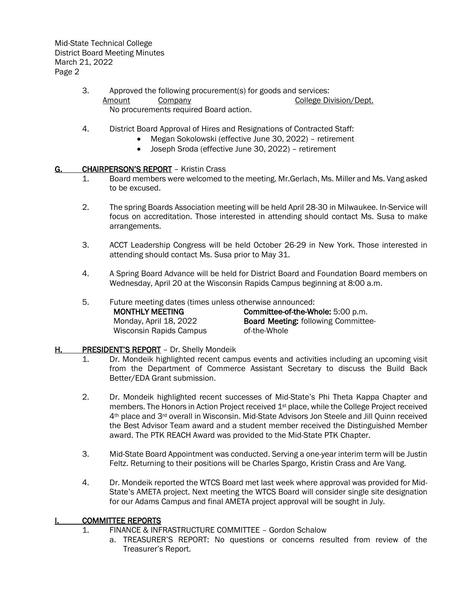Mid-State Technical College District Board Meeting Minutes March 21, 2022 Page 2

- 3. Approved the following procurement(s) for goods and services: Amount Company College Division/Dept. No procurements required Board action.
- 4. District Board Approval of Hires and Resignations of Contracted Staff:
	- Megan Sokolowski (effective June 30, 2022) retirement
		- Joseph Sroda (effective June 30, 2022) retirement

# G. CHAIRPERSON'S REPORT – Kristin Crass

- 1. Board members were welcomed to the meeting. Mr.Gerlach, Ms. Miller and Ms. Vang asked to be excused.
- 2. The spring Boards Association meeting will be held April 28-30 in Milwaukee. In-Service will focus on accreditation. Those interested in attending should contact Ms. Susa to make arrangements.
- 3. ACCT Leadership Congress will be held October 26-29 in New York. Those interested in attending should contact Ms. Susa prior to May 31.
- 4. A Spring Board Advance will be held for District Board and Foundation Board members on Wednesday, April 20 at the Wisconsin Rapids Campus beginning at 8:00 a.m.
- 5. Future meeting dates (times unless otherwise announced:

| MONTHLY MEETING         | <b>Committee-of-the-Whole: 5:00 p.m.</b>   |
|-------------------------|--------------------------------------------|
| Monday, April 18, 2022  | <b>Board Meeting: following Committee-</b> |
| Wisconsin Rapids Campus | of-the-Whole                               |

# H. PRESIDENT'S REPORT – Dr. Shelly Mondeik

- 1. Dr. Mondeik highlighted recent campus events and activities including an upcoming visit from the Department of Commerce Assistant Secretary to discuss the Build Back Better/EDA Grant submission.
- 2. Dr. Mondeik highlighted recent successes of Mid-State's Phi Theta Kappa Chapter and members. The Honors in Action Project received 1st place, while the College Project received 4th place and 3rd overall in Wisconsin. Mid-State Advisors Jon Steele and Jill Quinn received the Best Advisor Team award and a student member received the Distinguished Member award. The PTK REACH Award was provided to the Mid-State PTK Chapter.
- 3. Mid-State Board Appointment was conducted. Serving a one-year interim term will be Justin Feltz. Returning to their positions will be Charles Spargo, Kristin Crass and Are Vang.
- 4. Dr. Mondeik reported the WTCS Board met last week where approval was provided for Mid-State's AMETA project. Next meeting the WTCS Board will consider single site designation for our Adams Campus and final AMETA project approval will be sought in July.

## I. COMMITTEE REPORTS

- 1. FINANCE & INFRASTRUCTURE COMMITTEE Gordon Schalow
	- a. TREASURER'S REPORT: No questions or concerns resulted from review of the Treasurer's Report.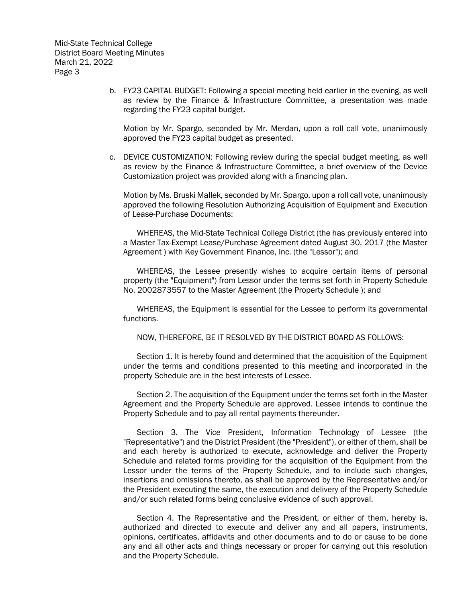b. FY23 CAPITAL BUDGET: Following a special meeting held earlier in the evening, as well as review by the Finance & Infrastructure Committee, a presentation was made regarding the FY23 capital budget.

Motion by Mr. Spargo, seconded by Mr. Merdan, upon a roll call vote, unanimously approved the FY23 capital budget as presented.

c. DEVICE CUSTOMIZATION: Following review during the special budget meeting, as well as review by the Finance & Infrastructure Committee, a brief overview of the Device Customization project was provided along with a financing plan.

Motion by Ms. Bruski Mallek, seconded by Mr. Spargo, upon a roll call vote, unanimously approved the following Resolution Authorizing Acquisition of Equipment and Execution of Lease-Purchase Documents:

WHEREAS, the Mid-State Technical College District (the has previously entered into a Master Tax-Exempt Lease/Purchase Agreement dated August 30, 2017 (the Master Agreement ) with Key Government Finance, Inc. (the "Lessor"); and

WHEREAS, the Lessee presently wishes to acquire certain items of personal property (the "Equipment") from Lessor under the terms set forth in Property Schedule No. 2002873557 to the Master Agreement (the Property Schedule ); and

WHEREAS, the Equipment is essential for the Lessee to perform its governmental functions.

NOW, THEREFORE, BE IT RESOLVED BY THE DISTRICT BOARD AS FOLLOWS:

Section 1. It is hereby found and determined that the acquisition of the Equipment under the terms and conditions presented to this meeting and incorporated in the property Schedule are in the best interests of Lessee.

Section 2. The acquisition of the Equipment under the terms set forth in the Master Agreement and the Property Schedule are approved. Lessee intends to continue the Property Schedule and to pay all rental payments thereunder.

Section 3. The Vice President, Information Technology of Lessee (the "Representative") and the District President (the "President"), or either of them, shall be and each hereby is authorized to execute, acknowledge and deliver the Property Schedule and related forms providing for the acquisition of the Equipment from the Lessor under the terms of the Property Schedule, and to include such changes, insertions and omissions thereto, as shall be approved by the Representative and/or the President executing the same, the execution and delivery of the Property Schedule and/or such related forms being conclusive evidence of such approval.

Section 4. The Representative and the President, or either of them, hereby is, authorized and directed to execute and deliver any and all papers, instruments, opinions, certificates, affidavits and other documents and to do or cause to be done any and all other acts and things necessary or proper for carrying out this resolution and the Property Schedule.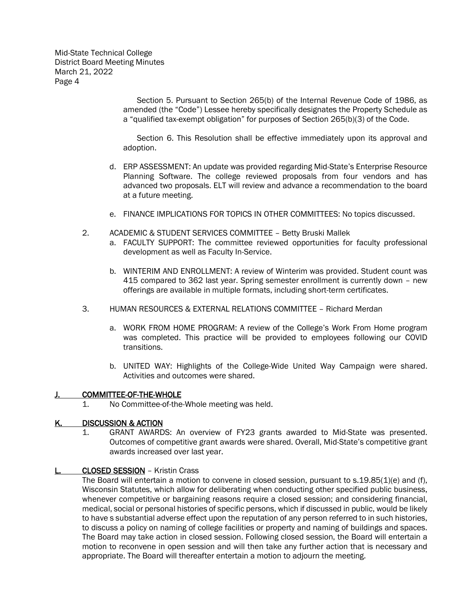Mid-State Technical College District Board Meeting Minutes March 21, 2022 Page 4

> Section 5. Pursuant to Section 265(b) of the Internal Revenue Code of 1986, as amended (the "Code") Lessee hereby specifically designates the Property Schedule as a "qualified tax-exempt obligation" for purposes of Section 265(b)(3) of the Code.

> Section 6. This Resolution shall be effective immediately upon its approval and adoption.

- d. ERP ASSESSMENT: An update was provided regarding Mid-State's Enterprise Resource Planning Software. The college reviewed proposals from four vendors and has advanced two proposals. ELT will review and advance a recommendation to the board at a future meeting.
- e. FINANCE IMPLICATIONS FOR TOPICS IN OTHER COMMITTEES: No topics discussed.
- 2. ACADEMIC & STUDENT SERVICES COMMITTEE Betty Bruski Mallek
	- a. FACULTY SUPPORT: The committee reviewed opportunities for faculty professional development as well as Faculty In-Service.
	- b. WINTERIM AND ENROLLMENT: A review of Winterim was provided. Student count was 415 compared to 362 last year. Spring semester enrollment is currently down – new offerings are available in multiple formats, including short-term certificates.
- 3. HUMAN RESOURCES & EXTERNAL RELATIONS COMMITTEE Richard Merdan
	- a. WORK FROM HOME PROGRAM: A review of the College's Work From Home program was completed. This practice will be provided to employees following our COVID transitions.
	- b. UNITED WAY: Highlights of the College-Wide United Way Campaign were shared. Activities and outcomes were shared.

#### J. COMMITTEE-OF-THE-WHOLE

1. No Committee-of-the-Whole meeting was held.

## K. DISCUSSION & ACTION

1. GRANT AWARDS: An overview of FY23 grants awarded to Mid-State was presented. Outcomes of competitive grant awards were shared. Overall, Mid-State's competitive grant awards increased over last year.

## CLOSED SESSION - Kristin Crass

The Board will entertain a motion to convene in closed session, pursuant to s.19.85(1)(e) and (f), Wisconsin Statutes, which allow for deliberating when conducting other specified public business, whenever competitive or bargaining reasons require a closed session; and considering financial, medical, social or personal histories of specific persons, which if discussed in public, would be likely to have s substantial adverse effect upon the reputation of any person referred to in such histories, to discuss a policy on naming of college facilities or property and naming of buildings and spaces. The Board may take action in closed session. Following closed session, the Board will entertain a motion to reconvene in open session and will then take any further action that is necessary and appropriate. The Board will thereafter entertain a motion to adjourn the meeting.